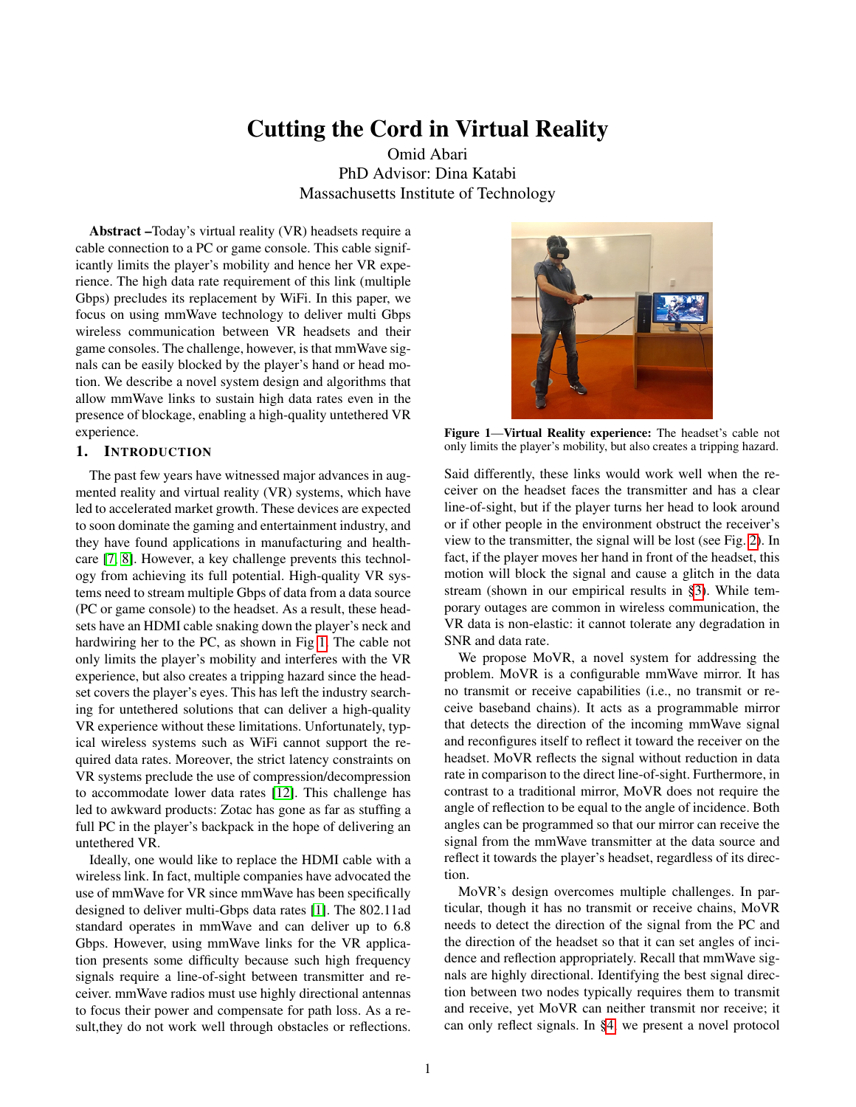# Cutting the Cord in Virtual Reality

Omid Abari PhD Advisor: Dina Katabi Massachusetts Institute of Technology

Abstract –Today's virtual reality (VR) headsets require a cable connection to a PC or game console. This cable significantly limits the player's mobility and hence her VR experience. The high data rate requirement of this link (multiple Gbps) precludes its replacement by WiFi. In this paper, we focus on using mmWave technology to deliver multi Gbps wireless communication between VR headsets and their game consoles. The challenge, however, is that mmWave signals can be easily blocked by the player's hand or head motion. We describe a novel system design and algorithms that allow mmWave links to sustain high data rates even in the presence of blockage, enabling a high-quality untethered VR experience.

## 1. INTRODUCTION

The past few years have witnessed major advances in augmented reality and virtual reality (VR) systems, which have led to accelerated market growth. These devices are expected to soon dominate the gaming and entertainment industry, and they have found applications in manufacturing and healthcare [\[7,](#page-4-0) [8\]](#page-4-1). However, a key challenge prevents this technology from achieving its full potential. High-quality VR systems need to stream multiple Gbps of data from a data source (PC or game console) to the headset. As a result, these headsets have an HDMI cable snaking down the player's neck and hardwiring her to the PC, as shown in Fig [1.](#page-0-0) The cable not only limits the player's mobility and interferes with the VR experience, but also creates a tripping hazard since the headset covers the player's eyes. This has left the industry searching for untethered solutions that can deliver a high-quality VR experience without these limitations. Unfortunately, typical wireless systems such as WiFi cannot support the required data rates. Moreover, the strict latency constraints on VR systems preclude the use of compression/decompression to accommodate lower data rates [\[12\]](#page-4-2). This challenge has led to awkward products: Zotac has gone as far as stuffing a full PC in the player's backpack in the hope of delivering an untethered VR.

Ideally, one would like to replace the HDMI cable with a wireless link. In fact, multiple companies have advocated the use of mmWave for VR since mmWave has been specifically designed to deliver multi-Gbps data rates [\[1\]](#page-4-3). The 802.11ad standard operates in mmWave and can deliver up to 6.8 Gbps. However, using mmWave links for the VR application presents some difficulty because such high frequency signals require a line-of-sight between transmitter and receiver. mmWave radios must use highly directional antennas to focus their power and compensate for path loss. As a result, they do not work well through obstacles or reflections.



Figure 1—Virtual Reality experience: The headset's cable not only limits the player's mobility, but also creates a tripping hazard.

<span id="page-0-0"></span>Said differently, these links would work well when the receiver on the headset faces the transmitter and has a clear line-of-sight, but if the player turns her head to look around or if other people in the environment obstruct the receiver's view to the transmitter, the signal will be lost (see Fig. [2\)](#page-1-0). In fact, if the player moves her hand in front of the headset, this motion will block the signal and cause a glitch in the data stream (shown in our empirical results in [§3\)](#page-1-1). While temporary outages are common in wireless communication, the VR data is non-elastic: it cannot tolerate any degradation in SNR and data rate.

We propose MoVR, a novel system for addressing the problem. MoVR is a configurable mmWave mirror. It has no transmit or receive capabilities (i.e., no transmit or receive baseband chains). It acts as a programmable mirror that detects the direction of the incoming mmWave signal and reconfigures itself to reflect it toward the receiver on the headset. MoVR reflects the signal without reduction in data rate in comparison to the direct line-of-sight. Furthermore, in contrast to a traditional mirror, MoVR does not require the angle of reflection to be equal to the angle of incidence. Both angles can be programmed so that our mirror can receive the signal from the mmWave transmitter at the data source and reflect it towards the player's headset, regardless of its direction.

MoVR's design overcomes multiple challenges. In particular, though it has no transmit or receive chains, MoVR needs to detect the direction of the signal from the PC and the direction of the headset so that it can set angles of incidence and reflection appropriately. Recall that mmWave signals are highly directional. Identifying the best signal direction between two nodes typically requires them to transmit and receive, yet MoVR can neither transmit nor receive; it can only reflect signals. In [§4,](#page-2-0) we present a novel protocol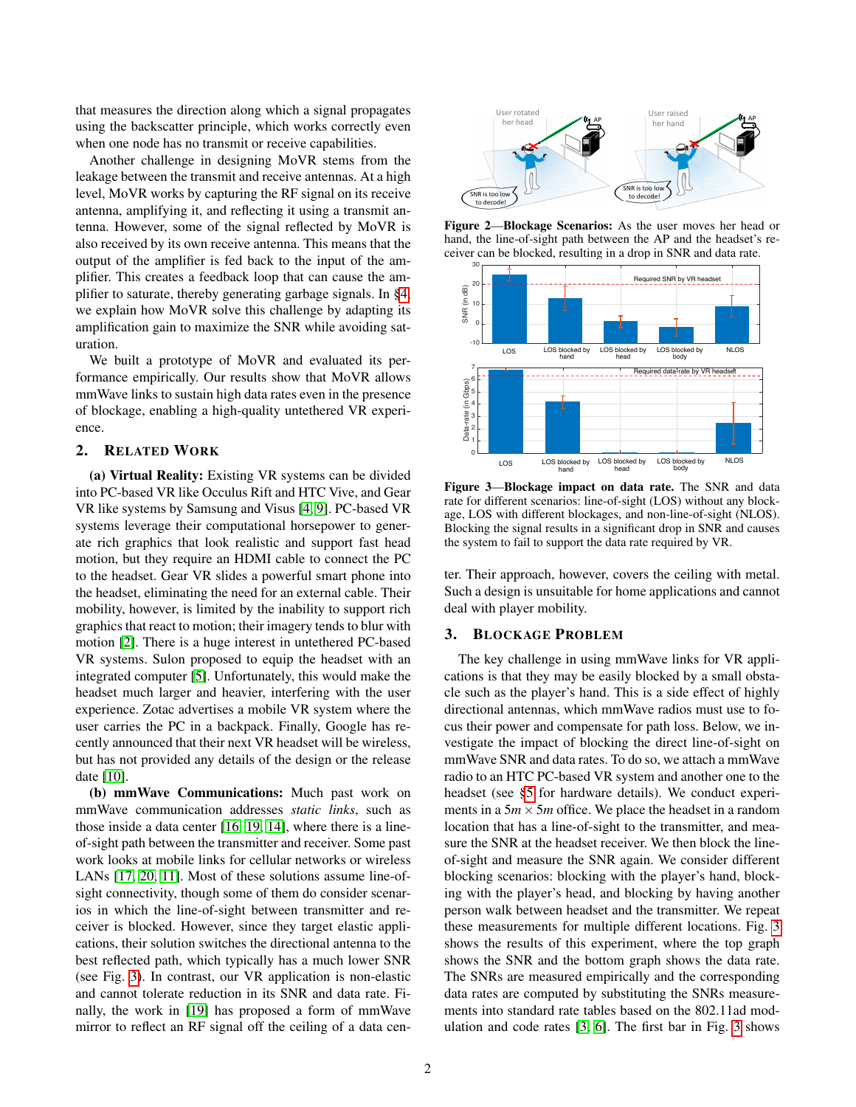that measures the direction along which a signal propagates using the backscatter principle, which works correctly even when one node has no transmit or receive capabilities.

Another challenge in designing MoVR stems from the leakage between the transmit and receive antennas. At a high level, MoVR works by capturing the RF signal on its receive antenna, amplifying it, and reflecting it using a transmit antenna. However, some of the signal reflected by MoVR is also received by its own receive antenna. This means that the output of the amplifier is fed back to the input of the amplifier. This creates a feedback loop that can cause the amplifier to saturate, thereby generating garbage signals. In [§4,](#page-2-0) we explain how MoVR solve this challenge by adapting its amplification gain to maximize the SNR while avoiding saturation.

We built a prototype of MoVR and evaluated its performance empirically. Our results show that MoVR allows mmWave links to sustain high data rates even in the presence of blockage, enabling a high-quality untethered VR experience.

# 2. RELATED WORK

(a) Virtual Reality: Existing VR systems can be divided into PC-based VR like Occulus Rift and HTC Vive, and Gear VR like systems by Samsung and Visus [\[4,](#page-4-4) [9\]](#page-4-5). PC-based VR systems leverage their computational horsepower to generate rich graphics that look realistic and support fast head motion, but they require an HDMI cable to connect the PC to the headset. Gear VR slides a powerful smart phone into the headset, eliminating the need for an external cable. Their mobility, however, is limited by the inability to support rich graphics that react to motion; their imagery tends to blur with motion [\[2\]](#page-4-6). There is a huge interest in untethered PC-based VR systems. Sulon proposed to equip the headset with an integrated computer [\[5\]](#page-4-7). Unfortunately, this would make the headset much larger and heavier, interfering with the user experience. Zotac advertises a mobile VR system where the user carries the PC in a backpack. Finally, Google has recently announced that their next VR headset will be wireless, but has not provided any details of the design or the release date [\[10\]](#page-4-8).

(b) mmWave Communications: Much past work on mmWave communication addresses *static links*, such as those inside a data center [\[16,](#page-4-9) [19,](#page-4-10) [14\]](#page-4-11), where there is a lineof-sight path between the transmitter and receiver. Some past work looks at mobile links for cellular networks or wireless LANs [\[17,](#page-4-12) [20,](#page-4-13) [11\]](#page-4-14). Most of these solutions assume line-ofsight connectivity, though some of them do consider scenarios in which the line-of-sight between transmitter and receiver is blocked. However, since they target elastic applications, their solution switches the directional antenna to the best reflected path, which typically has a much lower SNR (see Fig. [3\)](#page-1-2). In contrast, our VR application is non-elastic and cannot tolerate reduction in its SNR and data rate. Finally, the work in [\[19\]](#page-4-10) has proposed a form of mmWave mirror to reflect an RF signal off the ceiling of a data cen-



<span id="page-1-0"></span>Figure 2—Blockage Scenarios: As the user moves her head or hand, the line-of-sight path between the AP and the headset's receiver can be blocked, resulting in a drop in SNR and data rate.



<span id="page-1-2"></span>Figure 3—Blockage impact on data rate. The SNR and data rate for different scenarios: line-of-sight (LOS) without any blockage, LOS with different blockages, and non-line-of-sight (NLOS). Blocking the signal results in a significant drop in SNR and causes the system to fail to support the data rate required by VR.

ter. Their approach, however, covers the ceiling with metal. Such a design is unsuitable for home applications and cannot deal with player mobility.

#### <span id="page-1-1"></span>3. BLOCKAGE PROBLEM

The key challenge in using mmWave links for VR applications is that they may be easily blocked by a small obstacle such as the player's hand. This is a side effect of highly directional antennas, which mmWave radios must use to focus their power and compensate for path loss. Below, we investigate the impact of blocking the direct line-of-sight on mmWave SNR and data rates. To do so, we attach a mmWave radio to an HTC PC-based VR system and another one to the headset (see [§5](#page-3-0) for hardware details). We conduct experiments in a  $5m \times 5m$  office. We place the headset in a random location that has a line-of-sight to the transmitter, and measure the SNR at the headset receiver. We then block the lineof-sight and measure the SNR again. We consider different blocking scenarios: blocking with the player's hand, blocking with the player's head, and blocking by having another person walk between headset and the transmitter. We repeat these measurements for multiple different locations. Fig. [3](#page-1-2) shows the results of this experiment, where the top graph shows the SNR and the bottom graph shows the data rate. The SNRs are measured empirically and the corresponding data rates are computed by substituting the SNRs measurements into standard rate tables based on the 802.11ad modulation and code rates [\[3,](#page-4-15) [6\]](#page-4-16). The first bar in Fig. [3](#page-1-2) shows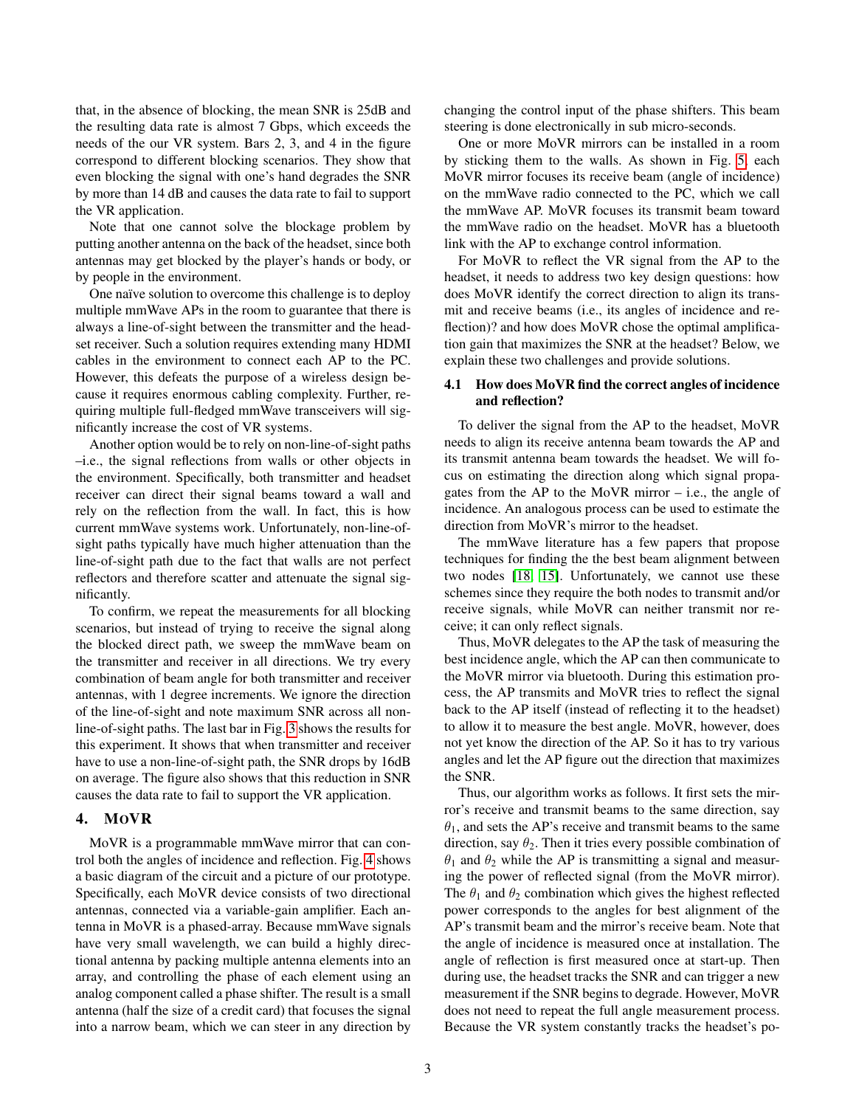that, in the absence of blocking, the mean SNR is 25dB and the resulting data rate is almost 7 Gbps, which exceeds the needs of the our VR system. Bars 2, 3, and 4 in the figure correspond to different blocking scenarios. They show that even blocking the signal with one's hand degrades the SNR by more than 14 dB and causes the data rate to fail to support the VR application.

Note that one cannot solve the blockage problem by putting another antenna on the back of the headset, since both antennas may get blocked by the player's hands or body, or by people in the environment.

One naïve solution to overcome this challenge is to deploy multiple mmWave APs in the room to guarantee that there is always a line-of-sight between the transmitter and the headset receiver. Such a solution requires extending many HDMI cables in the environment to connect each AP to the PC. However, this defeats the purpose of a wireless design because it requires enormous cabling complexity. Further, requiring multiple full-fledged mmWave transceivers will significantly increase the cost of VR systems.

Another option would be to rely on non-line-of-sight paths –i.e., the signal reflections from walls or other objects in the environment. Specifically, both transmitter and headset receiver can direct their signal beams toward a wall and rely on the reflection from the wall. In fact, this is how current mmWave systems work. Unfortunately, non-line-ofsight paths typically have much higher attenuation than the line-of-sight path due to the fact that walls are not perfect reflectors and therefore scatter and attenuate the signal significantly.

To confirm, we repeat the measurements for all blocking scenarios, but instead of trying to receive the signal along the blocked direct path, we sweep the mmWave beam on the transmitter and receiver in all directions. We try every combination of beam angle for both transmitter and receiver antennas, with 1 degree increments. We ignore the direction of the line-of-sight and note maximum SNR across all nonline-of-sight paths. The last bar in Fig. [3](#page-1-2) shows the results for this experiment. It shows that when transmitter and receiver have to use a non-line-of-sight path, the SNR drops by 16dB on average. The figure also shows that this reduction in SNR causes the data rate to fail to support the VR application.

## <span id="page-2-0"></span>4. MOVR

MoVR is a programmable mmWave mirror that can control both the angles of incidence and reflection. Fig. [4](#page-3-1) shows a basic diagram of the circuit and a picture of our prototype. Specifically, each MoVR device consists of two directional antennas, connected via a variable-gain amplifier. Each antenna in MoVR is a phased-array. Because mmWave signals have very small wavelength, we can build a highly directional antenna by packing multiple antenna elements into an array, and controlling the phase of each element using an analog component called a phase shifter. The result is a small antenna (half the size of a credit card) that focuses the signal into a narrow beam, which we can steer in any direction by changing the control input of the phase shifters. This beam steering is done electronically in sub micro-seconds.

One or more MoVR mirrors can be installed in a room by sticking them to the walls. As shown in Fig. [5,](#page-3-2) each MoVR mirror focuses its receive beam (angle of incidence) on the mmWave radio connected to the PC, which we call the mmWave AP. MoVR focuses its transmit beam toward the mmWave radio on the headset. MoVR has a bluetooth link with the AP to exchange control information.

For MoVR to reflect the VR signal from the AP to the headset, it needs to address two key design questions: how does MoVR identify the correct direction to align its transmit and receive beams (i.e., its angles of incidence and reflection)? and how does MoVR chose the optimal amplification gain that maximizes the SNR at the headset? Below, we explain these two challenges and provide solutions.

# 4.1 How does MoVR find the correct angles of incidence and reflection?

To deliver the signal from the AP to the headset, MoVR needs to align its receive antenna beam towards the AP and its transmit antenna beam towards the headset. We will focus on estimating the direction along which signal propagates from the AP to the MoVR mirror – i.e., the angle of incidence. An analogous process can be used to estimate the direction from MoVR's mirror to the headset.

The mmWave literature has a few papers that propose techniques for finding the the best beam alignment between two nodes [\[18,](#page-4-17) [15\]](#page-4-18). Unfortunately, we cannot use these schemes since they require the both nodes to transmit and/or receive signals, while MoVR can neither transmit nor receive; it can only reflect signals.

Thus, MoVR delegates to the AP the task of measuring the best incidence angle, which the AP can then communicate to the MoVR mirror via bluetooth. During this estimation process, the AP transmits and MoVR tries to reflect the signal back to the AP itself (instead of reflecting it to the headset) to allow it to measure the best angle. MoVR, however, does not yet know the direction of the AP. So it has to try various angles and let the AP figure out the direction that maximizes the SNR.

Thus, our algorithm works as follows. It first sets the mirror's receive and transmit beams to the same direction, say  $\theta_1$ , and sets the AP's receive and transmit beams to the same direction, say  $\theta_2$ . Then it tries every possible combination of  $\theta_1$  and  $\theta_2$  while the AP is transmitting a signal and measuring the power of reflected signal (from the MoVR mirror). The  $\theta_1$  and  $\theta_2$  combination which gives the highest reflected power corresponds to the angles for best alignment of the AP's transmit beam and the mirror's receive beam. Note that the angle of incidence is measured once at installation. The angle of reflection is first measured once at start-up. Then during use, the headset tracks the SNR and can trigger a new measurement if the SNR begins to degrade. However, MoVR does not need to repeat the full angle measurement process. Because the VR system constantly tracks the headset's po-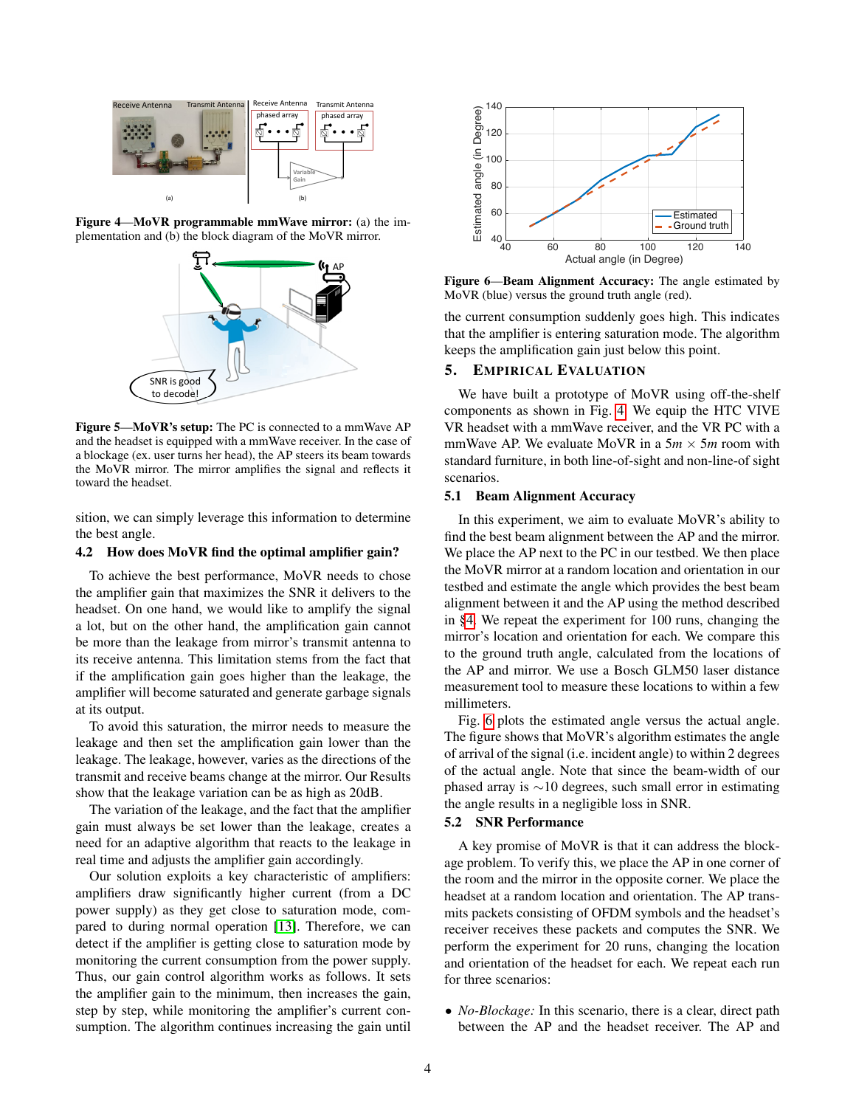

Figure 4—MoVR programmable mmWave mirror: (a) the implementation and (b) the block diagram of the MoVR mirror.

<span id="page-3-1"></span>

<span id="page-3-2"></span>Figure 5—MoVR's setup: The PC is connected to a mmWave AP and the headset is equipped with a mmWave receiver. In the case of a blockage (ex. user turns her head), the AP steers its beam towards the MoVR mirror. The mirror amplifies the signal and reflects it toward the headset.

sition, we can simply leverage this information to determine the best angle.

#### 4.2 How does MoVR find the optimal amplifier gain?

To achieve the best performance, MoVR needs to chose the amplifier gain that maximizes the SNR it delivers to the headset. On one hand, we would like to amplify the signal a lot, but on the other hand, the amplification gain cannot be more than the leakage from mirror's transmit antenna to its receive antenna. This limitation stems from the fact that if the amplification gain goes higher than the leakage, the amplifier will become saturated and generate garbage signals at its output.

To avoid this saturation, the mirror needs to measure the leakage and then set the amplification gain lower than the leakage. The leakage, however, varies as the directions of the transmit and receive beams change at the mirror. Our Results show that the leakage variation can be as high as 20dB.

The variation of the leakage, and the fact that the amplifier gain must always be set lower than the leakage, creates a need for an adaptive algorithm that reacts to the leakage in real time and adjusts the amplifier gain accordingly.

Our solution exploits a key characteristic of amplifiers: amplifiers draw significantly higher current (from a DC power supply) as they get close to saturation mode, compared to during normal operation [\[13\]](#page-4-19). Therefore, we can detect if the amplifier is getting close to saturation mode by monitoring the current consumption from the power supply. Thus, our gain control algorithm works as follows. It sets the amplifier gain to the minimum, then increases the gain, step by step, while monitoring the amplifier's current consumption. The algorithm continues increasing the gain until



<span id="page-3-3"></span>Figure 6—Beam Alignment Accuracy: The angle estimated by MoVR (blue) versus the ground truth angle (red).

the current consumption suddenly goes high. This indicates that the amplifier is entering saturation mode. The algorithm keeps the amplification gain just below this point.

# <span id="page-3-0"></span>5. EMPIRICAL EVALUATION

We have built a prototype of MoVR using off-the-shelf components as shown in Fig. [4.](#page-3-1) We equip the HTC VIVE VR headset with a mmWave receiver, and the VR PC with a mmWave AP. We evaluate MoVR in a  $5m \times 5m$  room with standard furniture, in both line-of-sight and non-line-of sight scenarios.

#### 5.1 Beam Alignment Accuracy

In this experiment, we aim to evaluate MoVR's ability to find the best beam alignment between the AP and the mirror. We place the AP next to the PC in our testbed. We then place the MoVR mirror at a random location and orientation in our testbed and estimate the angle which provides the best beam alignment between it and the AP using the method described in [§4.](#page-2-0) We repeat the experiment for 100 runs, changing the mirror's location and orientation for each. We compare this to the ground truth angle, calculated from the locations of the AP and mirror. We use a Bosch GLM50 laser distance measurement tool to measure these locations to within a few millimeters.

Fig. [6](#page-3-3) plots the estimated angle versus the actual angle. The figure shows that MoVR's algorithm estimates the angle of arrival of the signal (i.e. incident angle) to within 2 degrees of the actual angle. Note that since the beam-width of our phased array is ∼10 degrees, such small error in estimating the angle results in a negligible loss in SNR.

# 5.2 SNR Performance

A key promise of MoVR is that it can address the blockage problem. To verify this, we place the AP in one corner of the room and the mirror in the opposite corner. We place the headset at a random location and orientation. The AP transmits packets consisting of OFDM symbols and the headset's receiver receives these packets and computes the SNR. We perform the experiment for 20 runs, changing the location and orientation of the headset for each. We repeat each run for three scenarios:

• *No-Blockage:* In this scenario, there is a clear, direct path between the AP and the headset receiver. The AP and